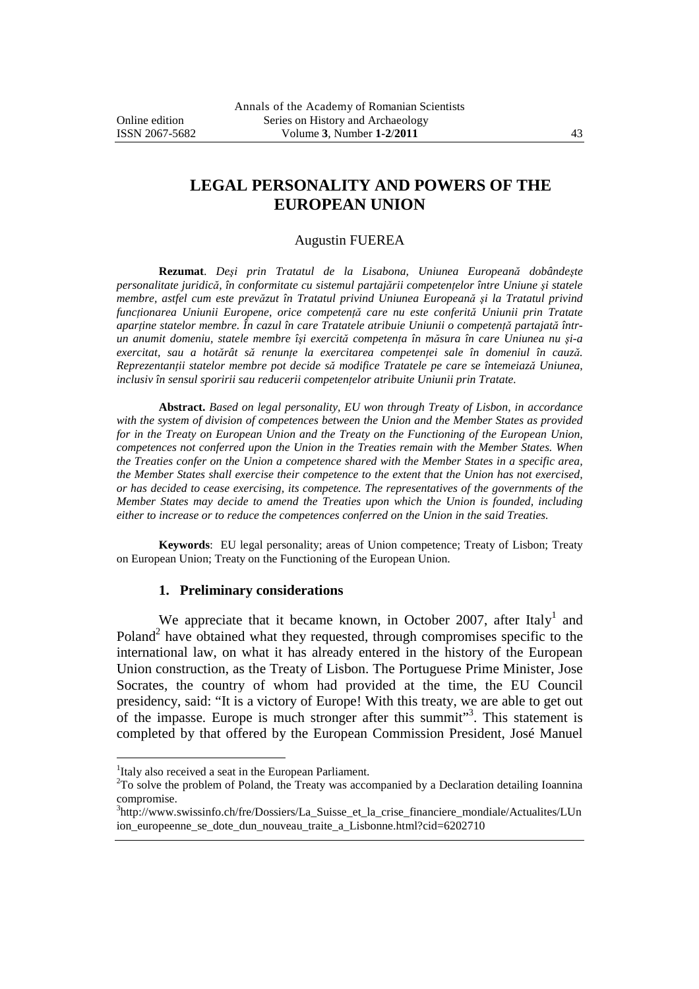# **LEGAL PERSONALITY AND POWERS OF THE EUROPEAN UNION**

#### Augustin FUEREA

**Rezumat**. *Deşi prin Tratatul de la Lisabona, Uniunea Europeană dobândeşte personalitate juridică, în conformitate cu sistemul partajării competenţelor între Uniune şi statele membre, astfel cum este prevăzut în Tratatul privind Uniunea Europeană şi la Tratatul privind funcţionarea Uniunii Europene, orice competenţă care nu este conferită Uniunii prin Tratate aparţine statelor membre. În cazul în care Tratatele atribuie Uniunii o competenţă partajată întrun anumit domeniu, statele membre îşi exercită competenţa în măsura în care Uniunea nu şi-a exercitat, sau a hotărât să renunţe la exercitarea competenţei sale în domeniul în cauză. Reprezentanţii statelor membre pot decide să modifice Tratatele pe care se întemeiază Uniunea, inclusiv în sensul sporirii sau reducerii competenţelor atribuite Uniunii prin Tratate.* 

**Abstract.** *Based on legal personality, EU won through Treaty of Lisbon, in accordance with the system of division of competences between the Union and the Member States as provided for in the Treaty on European Union and the Treaty on the Functioning of the European Union, competences not conferred upon the Union in the Treaties remain with the Member States. When the Treaties confer on the Union a competence shared with the Member States in a specific area, the Member States shall exercise their competence to the extent that the Union has not exercised, or has decided to cease exercising, its competence. The representatives of the governments of the Member States may decide to amend the Treaties upon which the Union is founded, including either to increase or to reduce the competences conferred on the Union in the said Treaties.* 

**Keywords**: EU legal personality; areas of Union competence; Treaty of Lisbon; Treaty on European Union; Treaty on the Functioning of the European Union.

#### **1. Preliminary considerations**

We appreciate that it became known, in October 2007, after Italy<sup>1</sup> and Poland<sup>2</sup> have obtained what they requested, through compromises specific to the international law, on what it has already entered in the history of the European Union construction, as the Treaty of Lisbon. The Portuguese Prime Minister, Jose Socrates, the country of whom had provided at the time, the EU Council presidency, said: "It is a victory of Europe! With this treaty, we are able to get out of the impasse. Europe is much stronger after this summit"<sup>3</sup>. This statement is completed by that offered by the European Commission President, José Manuel

<sup>&</sup>lt;sup>1</sup>Italy also received a seat in the European Parliament.

<sup>&</sup>lt;sup>2</sup>To solve the problem of Poland, the Treaty was accompanied by a Declaration detailing Ioannina compromise.

<sup>&</sup>lt;sup>3</sup>http://www.swissinfo.ch/fre/Dossiers/La\_Suisse\_et\_la\_crise\_financiere\_mondiale/Actualites/LUn ion\_europeenne\_se\_dote\_dun\_nouveau\_traite\_a\_Lisbonne.html?cid=6202710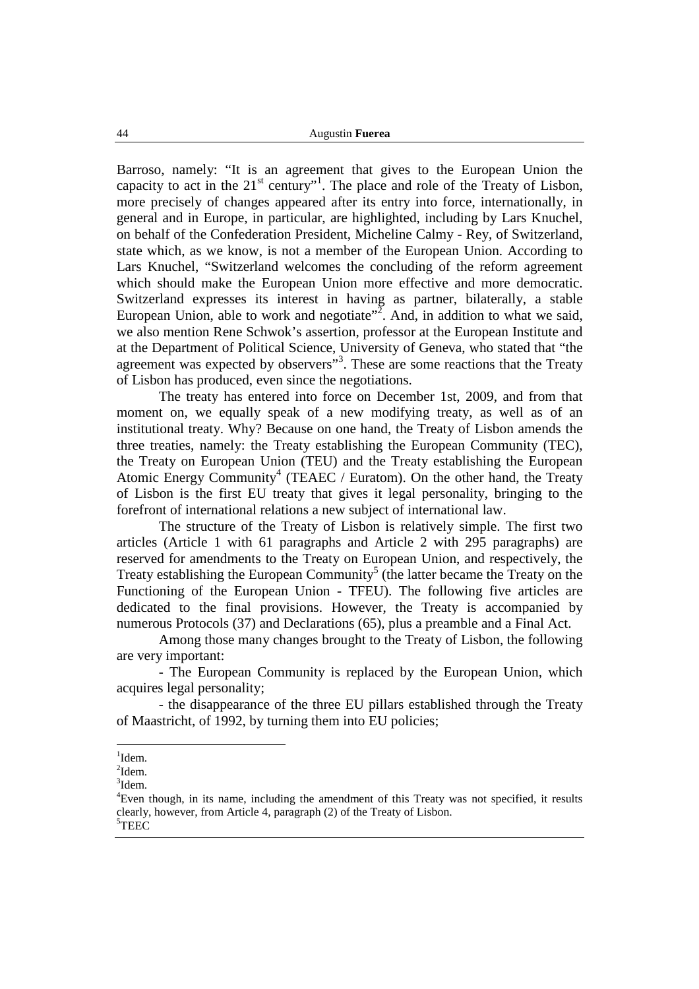Barroso, namely: "It is an agreement that gives to the European Union the capacity to act in the  $21<sup>st</sup>$  century"<sup>1</sup>. The place and role of the Treaty of Lisbon, more precisely of changes appeared after its entry into force, internationally, in general and in Europe, in particular, are highlighted, including by Lars Knuchel, on behalf of the Confederation President, Micheline Calmy - Rey, of Switzerland, state which, as we know, is not a member of the European Union. According to Lars Knuchel, "Switzerland welcomes the concluding of the reform agreement which should make the European Union more effective and more democratic. Switzerland expresses its interest in having as partner, bilaterally, a stable European Union, able to work and negotiate<sup> $\frac{3}{2}$ </sup>. And, in addition to what we said, we also mention Rene Schwok's assertion, professor at the European Institute and at the Department of Political Science, University of Geneva, who stated that "the agreement was expected by observers"<sup>3</sup>. These are some reactions that the Treaty of Lisbon has produced, even since the negotiations.

 The treaty has entered into force on December 1st, 2009, and from that moment on, we equally speak of a new modifying treaty, as well as of an institutional treaty. Why? Because on one hand, the Treaty of Lisbon amends the three treaties, namely: the Treaty establishing the European Community (TEC), the Treaty on European Union (TEU) and the Treaty establishing the European Atomic Energy Community<sup>4</sup> (TEAEC / Euratom). On the other hand, the Treaty of Lisbon is the first EU treaty that gives it legal personality, bringing to the forefront of international relations a new subject of international law.

 The structure of the Treaty of Lisbon is relatively simple. The first two articles (Article 1 with 61 paragraphs and Article 2 with 295 paragraphs) are reserved for amendments to the Treaty on European Union, and respectively, the Treaty establishing the European Community<sup>5</sup> (the latter became the Treaty on the Functioning of the European Union - TFEU). The following five articles are dedicated to the final provisions. However, the Treaty is accompanied by numerous Protocols (37) and Declarations (65), plus a preamble and a Final Act.

 Among those many changes brought to the Treaty of Lisbon, the following are very important:

 - The European Community is replaced by the European Union, which acquires legal personality;

 - the disappearance of the three EU pillars established through the Treaty of Maastricht, of 1992, by turning them into EU policies;

<sup>&</sup>lt;sup>1</sup>Idem.

 $^{2}$ Idem.

<sup>3</sup> Idem.

<sup>4</sup>Even though, in its name, including the amendment of this Treaty was not specified, it results clearly, however, from Article 4, paragraph (2) of the Treaty of Lisbon. <sup>5</sup>TEEC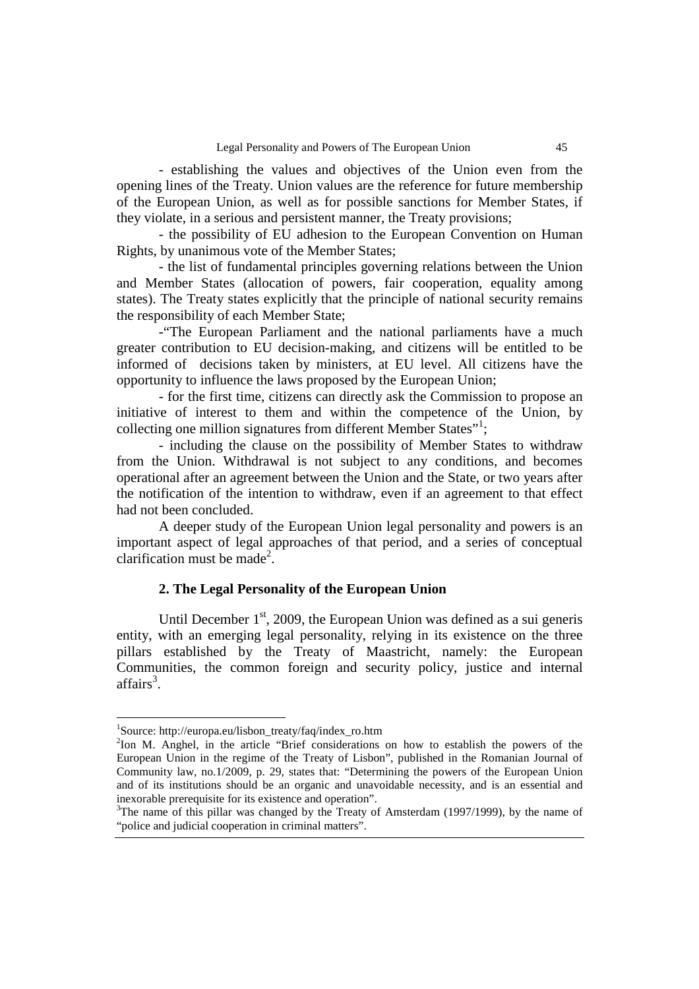- establishing the values and objectives of the Union even from the opening lines of the Treaty. Union values are the reference for future membership of the European Union, as well as for possible sanctions for Member States, if they violate, in a serious and persistent manner, the Treaty provisions;

 - the possibility of EU adhesion to the European Convention on Human Rights, by unanimous vote of the Member States;

 - the list of fundamental principles governing relations between the Union and Member States (allocation of powers, fair cooperation, equality among states). The Treaty states explicitly that the principle of national security remains the responsibility of each Member State;

 -"The European Parliament and the national parliaments have a much greater contribution to EU decision-making, and citizens will be entitled to be informed of decisions taken by ministers, at EU level. All citizens have the opportunity to influence the laws proposed by the European Union;

 - for the first time, citizens can directly ask the Commission to propose an initiative of interest to them and within the competence of the Union, by collecting one million signatures from different Member States"<sup>1</sup>;

 - including the clause on the possibility of Member States to withdraw from the Union. Withdrawal is not subject to any conditions, and becomes operational after an agreement between the Union and the State, or two years after the notification of the intention to withdraw, even if an agreement to that effect had not been concluded.

 A deeper study of the European Union legal personality and powers is an important aspect of legal approaches of that period, and a series of conceptual clarification must be made<sup>2</sup>.

### **2. The Legal Personality of the European Union**

Until December  $1<sup>st</sup>$ , 2009, the European Union was defined as a sui generis entity, with an emerging legal personality, relying in its existence on the three pillars established by the Treaty of Maastricht, namely: the European Communities, the common foreign and security policy, justice and internal  $affairs<sup>3</sup>$ .

<sup>1</sup> Source: http://europa.eu/lisbon\_treaty/faq/index\_ro.htm

<sup>&</sup>lt;sup>2</sup>Ion M. Anghel, in the article "Brief considerations on how to establish the powers of the European Union in the regime of the Treaty of Lisbon", published in the Romanian Journal of Community law, no.1/2009, p. 29, states that: "Determining the powers of the European Union and of its institutions should be an organic and unavoidable necessity, and is an essential and inexorable prerequisite for its existence and operation".

 $3$ The name of this pillar was changed by the Treaty of Amsterdam (1997/1999), by the name of "police and judicial cooperation in criminal matters".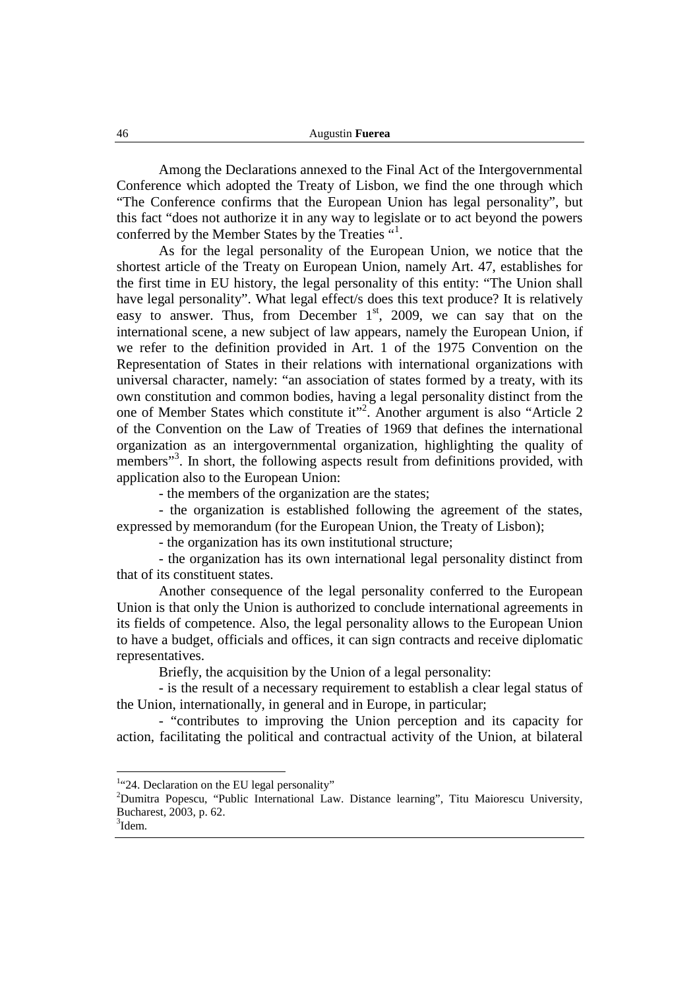Among the Declarations annexed to the Final Act of the Intergovernmental Conference which adopted the Treaty of Lisbon, we find the one through which "The Conference confirms that the European Union has legal personality", but this fact "does not authorize it in any way to legislate or to act beyond the powers conferred by the Member States by the Treaties "<sup>1</sup>.

 As for the legal personality of the European Union, we notice that the shortest article of the Treaty on European Union, namely Art. 47, establishes for the first time in EU history, the legal personality of this entity: "The Union shall have legal personality". What legal effect/s does this text produce? It is relatively easy to answer. Thus, from December  $1<sup>st</sup>$ , 2009, we can say that on the international scene, a new subject of law appears, namely the European Union, if we refer to the definition provided in Art. 1 of the 1975 Convention on the Representation of States in their relations with international organizations with universal character, namely: "an association of states formed by a treaty, with its own constitution and common bodies, having a legal personality distinct from the one of Member States which constitute it"<sup>2</sup>. Another argument is also "Article 2 of the Convention on the Law of Treaties of 1969 that defines the international organization as an intergovernmental organization, highlighting the quality of members"<sup>3</sup>. In short, the following aspects result from definitions provided, with application also to the European Union:

- the members of the organization are the states;

 - the organization is established following the agreement of the states, expressed by memorandum (for the European Union, the Treaty of Lisbon);

- the organization has its own institutional structure;

 - the organization has its own international legal personality distinct from that of its constituent states.

 Another consequence of the legal personality conferred to the European Union is that only the Union is authorized to conclude international agreements in its fields of competence. Also, the legal personality allows to the European Union to have a budget, officials and offices, it can sign contracts and receive diplomatic representatives.

Briefly, the acquisition by the Union of a legal personality:

 - is the result of a necessary requirement to establish a clear legal status of the Union, internationally, in general and in Europe, in particular;

 - "contributes to improving the Union perception and its capacity for action, facilitating the political and contractual activity of the Union, at bilateral

<sup>&</sup>lt;sup>1</sup>"24. Declaration on the EU legal personality"

<sup>&</sup>lt;sup>2</sup>Dumitra Popescu, "Public International Law. Distance learning", Titu Maiorescu University, Bucharest, 2003, p. 62.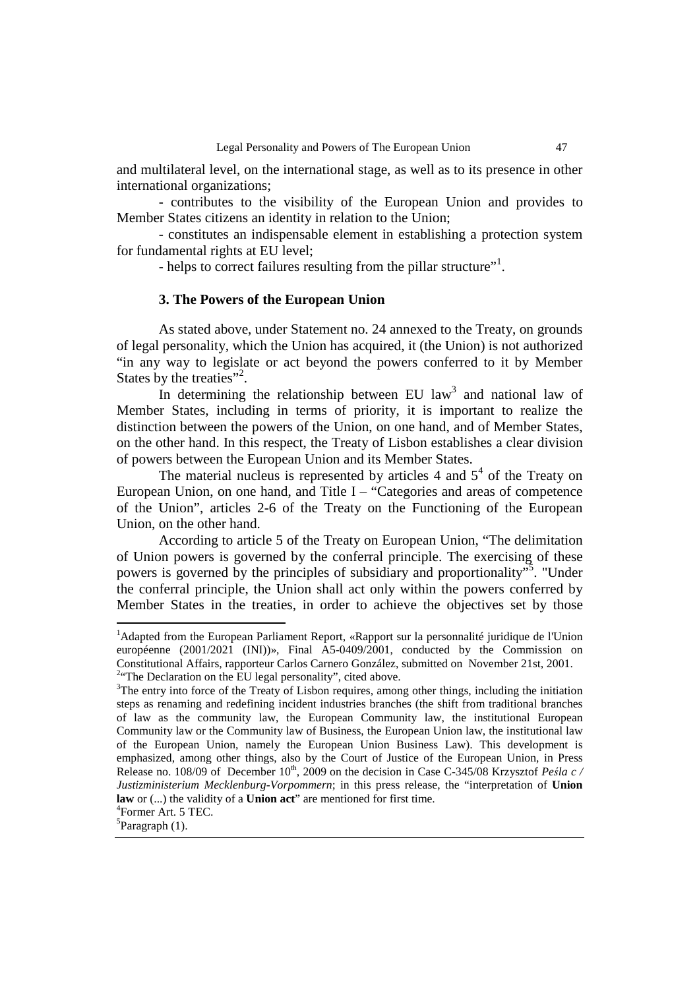and multilateral level, on the international stage, as well as to its presence in other international organizations;

 - contributes to the visibility of the European Union and provides to Member States citizens an identity in relation to the Union;

 - constitutes an indispensable element in establishing a protection system for fundamental rights at EU level;

- helps to correct failures resulting from the pillar structure"<sup>1</sup>.

#### **3. The Powers of the European Union**

As stated above, under Statement no. 24 annexed to the Treaty, on grounds of legal personality, which the Union has acquired, it (the Union) is not authorized "in any way to legislate or act beyond the powers conferred to it by Member States by the treaties"<sup>2</sup>.

In determining the relationship between EU  $law<sup>3</sup>$  and national law of Member States, including in terms of priority, it is important to realize the distinction between the powers of the Union, on one hand, and of Member States, on the other hand. In this respect, the Treaty of Lisbon establishes a clear division of powers between the European Union and its Member States.

The material nucleus is represented by articles  $4$  and  $5<sup>4</sup>$  of the Treaty on European Union, on one hand, and Title I – "Categories and areas of competence of the Union", articles 2-6 of the Treaty on the Functioning of the European Union, on the other hand.

 According to article 5 of the Treaty on European Union, "The delimitation of Union powers is governed by the conferral principle. The exercising of these powers is governed by the principles of subsidiary and proportionality"<sup>5</sup>. "Under the conferral principle, the Union shall act only within the powers conferred by Member States in the treaties, in order to achieve the objectives set by those

 $1$ Adapted from the European Parliament Report, «Rapport sur la personnalité juridique de l'Union européenne (2001/2021 (INI))», Final A5-0409/2001, conducted by the Commission on Constitutional Affairs, rapporteur Carlos Carnero González, submitted on November 21st, 2001. <sup>2.</sup>The Declaration on the EU legal personality", cited above.

<sup>&</sup>lt;sup>3</sup>The entry into force of the Treaty of Lisbon requires, among other things, including the initiation steps as renaming and redefining incident industries branches (the shift from traditional branches of law as the community law, the European Community law, the institutional European Community law or the Community law of Business, the European Union law, the institutional law of the European Union, namely the European Union Business Law). This development is emphasized, among other things, also by the Court of Justice of the European Union, in Press Release no. 108/09 of December 10th, 2009 on the decision in Case C-345/08 Krzysztof *Peśla c / Justizministerium Mecklenburg-Vorpommern*; in this press release, the "interpretation of **Union law** or (...) the validity of a **Union act**" are mentioned for first time.

<sup>4</sup> Former Art. 5 TEC.

<sup>&</sup>lt;sup>5</sup>Paragraph (1).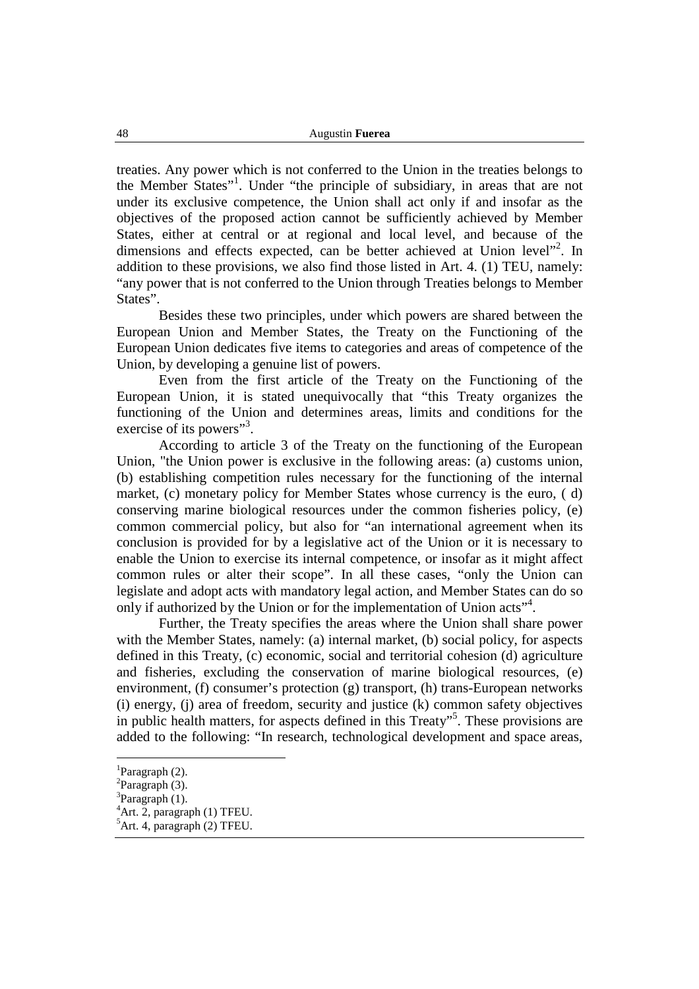treaties. Any power which is not conferred to the Union in the treaties belongs to the Member States"<sup>1</sup>. Under "the principle of subsidiary, in areas that are not under its exclusive competence, the Union shall act only if and insofar as the objectives of the proposed action cannot be sufficiently achieved by Member States, either at central or at regional and local level, and because of the dimensions and effects expected, can be better achieved at Union level"<sup>2</sup>. In addition to these provisions, we also find those listed in Art. 4. (1) TEU, namely: "any power that is not conferred to the Union through Treaties belongs to Member States".

 Besides these two principles, under which powers are shared between the European Union and Member States, the Treaty on the Functioning of the European Union dedicates five items to categories and areas of competence of the Union, by developing a genuine list of powers.

 Even from the first article of the Treaty on the Functioning of the European Union, it is stated unequivocally that "this Treaty organizes the functioning of the Union and determines areas, limits and conditions for the exercise of its powers"<sup>3</sup>.

According to article 3 of the Treaty on the functioning of the European Union, "the Union power is exclusive in the following areas: (a) customs union, (b) establishing competition rules necessary for the functioning of the internal market, (c) monetary policy for Member States whose currency is the euro, ( d) conserving marine biological resources under the common fisheries policy, (e) common commercial policy, but also for "an international agreement when its conclusion is provided for by a legislative act of the Union or it is necessary to enable the Union to exercise its internal competence, or insofar as it might affect common rules or alter their scope". In all these cases, "only the Union can legislate and adopt acts with mandatory legal action, and Member States can do so only if authorized by the Union or for the implementation of Union acts"<sup>4</sup>.

 Further, the Treaty specifies the areas where the Union shall share power with the Member States, namely: (a) internal market, (b) social policy, for aspects defined in this Treaty, (c) economic, social and territorial cohesion (d) agriculture and fisheries, excluding the conservation of marine biological resources, (e) environment, (f) consumer's protection  $(g)$  transport, (h) trans-European networks (i) energy, (j) area of freedom, security and justice (k) common safety objectives in public health matters, for aspects defined in this Treaty"<sup>5</sup> . These provisions are added to the following: "In research, technological development and space areas,

<sup>&</sup>lt;sup>1</sup>Paragraph (2).

 ${}^{2}$ Paragraph (3).

 ${}^{3}$ Paragraph (1).

 ${}^{4}$ Art. 2, paragraph (1) TFEU.

 ${}^5$ Art. 4, paragraph (2) TFEU.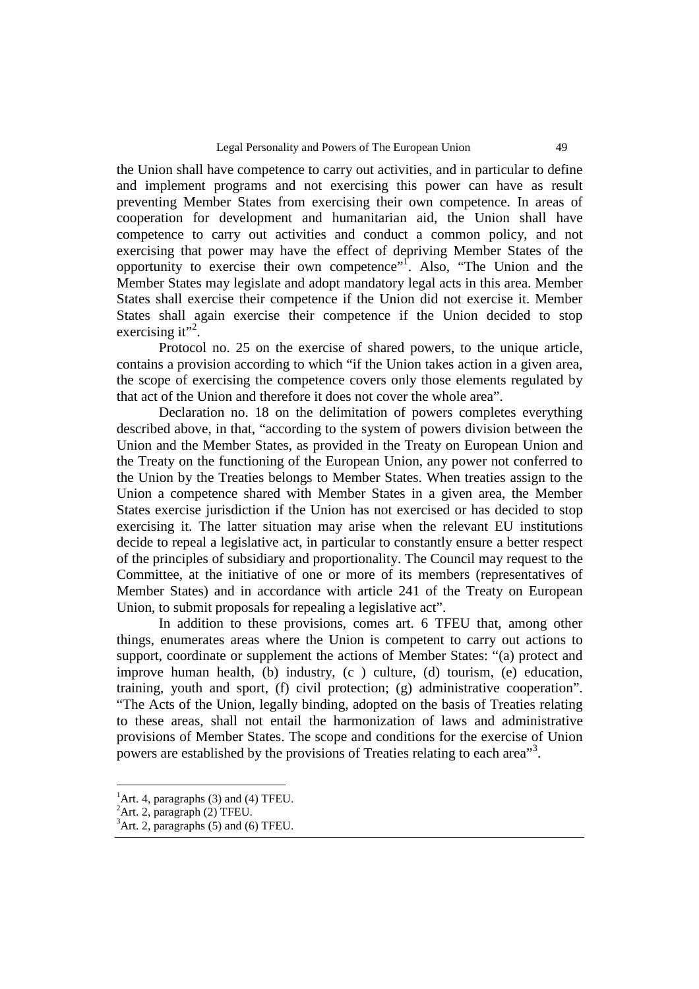the Union shall have competence to carry out activities, and in particular to define and implement programs and not exercising this power can have as result preventing Member States from exercising their own competence. In areas of cooperation for development and humanitarian aid, the Union shall have competence to carry out activities and conduct a common policy, and not exercising that power may have the effect of depriving Member States of the opportunity to exercise their own competence"<sup>1</sup>. Also, "The Union and the Member States may legislate and adopt mandatory legal acts in this area. Member States shall exercise their competence if the Union did not exercise it. Member States shall again exercise their competence if the Union decided to stop exercising it"<sup>2</sup>.

Protocol no. 25 on the exercise of shared powers, to the unique article, contains a provision according to which "if the Union takes action in a given area, the scope of exercising the competence covers only those elements regulated by that act of the Union and therefore it does not cover the whole area".

 Declaration no. 18 on the delimitation of powers completes everything described above, in that, "according to the system of powers division between the Union and the Member States, as provided in the Treaty on European Union and the Treaty on the functioning of the European Union, any power not conferred to the Union by the Treaties belongs to Member States. When treaties assign to the Union a competence shared with Member States in a given area, the Member States exercise jurisdiction if the Union has not exercised or has decided to stop exercising it. The latter situation may arise when the relevant EU institutions decide to repeal a legislative act, in particular to constantly ensure a better respect of the principles of subsidiary and proportionality. The Council may request to the Committee, at the initiative of one or more of its members (representatives of Member States) and in accordance with article 241 of the Treaty on European Union, to submit proposals for repealing a legislative act".

 In addition to these provisions, comes art. 6 TFEU that, among other things, enumerates areas where the Union is competent to carry out actions to support, coordinate or supplement the actions of Member States: "(a) protect and improve human health, (b) industry, (c ) culture, (d) tourism, (e) education, training, youth and sport, (f) civil protection; (g) administrative cooperation". "The Acts of the Union, legally binding, adopted on the basis of Treaties relating to these areas, shall not entail the harmonization of laws and administrative provisions of Member States. The scope and conditions for the exercise of Union powers are established by the provisions of Treaties relating to each area<sup>33</sup>.

 $<sup>1</sup>$ Art. 4, paragraphs (3) and (4) TFEU.</sup>

<sup>&</sup>lt;sup>2</sup>Art. 2, paragraph (2) TFEU.

 ${}^{3}$ Art. 2, paragraphs (5) and (6) TFEU.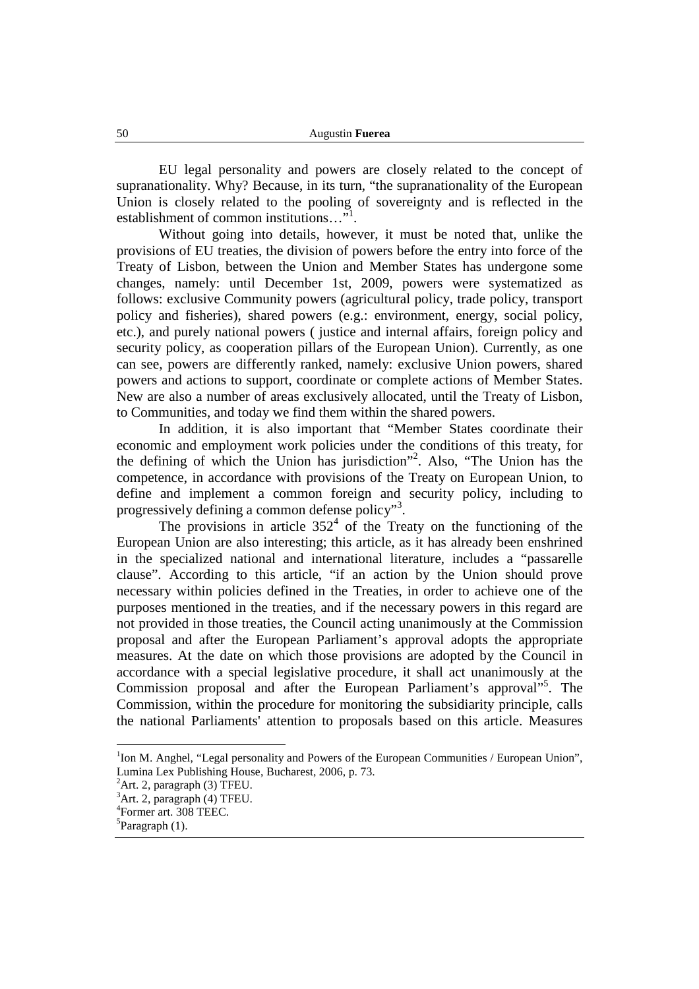EU legal personality and powers are closely related to the concept of supranationality. Why? Because, in its turn, "the supranationality of the European Union is closely related to the pooling of sovereignty and is reflected in the establishment of common institutions..."<sup>1</sup>.

 Without going into details, however, it must be noted that, unlike the provisions of EU treaties, the division of powers before the entry into force of the Treaty of Lisbon, between the Union and Member States has undergone some changes, namely: until December 1st, 2009, powers were systematized as follows: exclusive Community powers (agricultural policy, trade policy, transport policy and fisheries), shared powers (e.g.: environment, energy, social policy, etc.), and purely national powers ( justice and internal affairs, foreign policy and security policy, as cooperation pillars of the European Union). Currently, as one can see, powers are differently ranked, namely: exclusive Union powers, shared powers and actions to support, coordinate or complete actions of Member States. New are also a number of areas exclusively allocated, until the Treaty of Lisbon, to Communities, and today we find them within the shared powers.

 In addition, it is also important that "Member States coordinate their economic and employment work policies under the conditions of this treaty, for the defining of which the Union has jurisdiction"<sup>2</sup> . Also, "The Union has the competence, in accordance with provisions of the Treaty on European Union, to define and implement a common foreign and security policy, including to progressively defining a common defense policy"<sup>3</sup>.

The provisions in article  $352<sup>4</sup>$  of the Treaty on the functioning of the European Union are also interesting; this article, as it has already been enshrined in the specialized national and international literature, includes a "passarelle clause". According to this article, "if an action by the Union should prove necessary within policies defined in the Treaties, in order to achieve one of the purposes mentioned in the treaties, and if the necessary powers in this regard are not provided in those treaties, the Council acting unanimously at the Commission proposal and after the European Parliament's approval adopts the appropriate measures. At the date on which those provisions are adopted by the Council in accordance with a special legislative procedure, it shall act unanimously at the Commission proposal and after the European Parliament's approval<sup>15</sup>. The Commission, within the procedure for monitoring the subsidiarity principle, calls the national Parliaments' attention to proposals based on this article. Measures

<sup>&</sup>lt;sup>1</sup>Ion M. Anghel, "Legal personality and Powers of the European Communities / European Union", Lumina Lex Publishing House, Bucharest, 2006, p. 73.

 ${}^{2}$ Art. 2, paragraph (3) TFEU.

 ${}^{3}$ Art. 2, paragraph (4) TFEU.

<sup>4</sup> Former art. 308 TEEC.

<sup>&</sup>lt;sup>5</sup>Paragraph (1).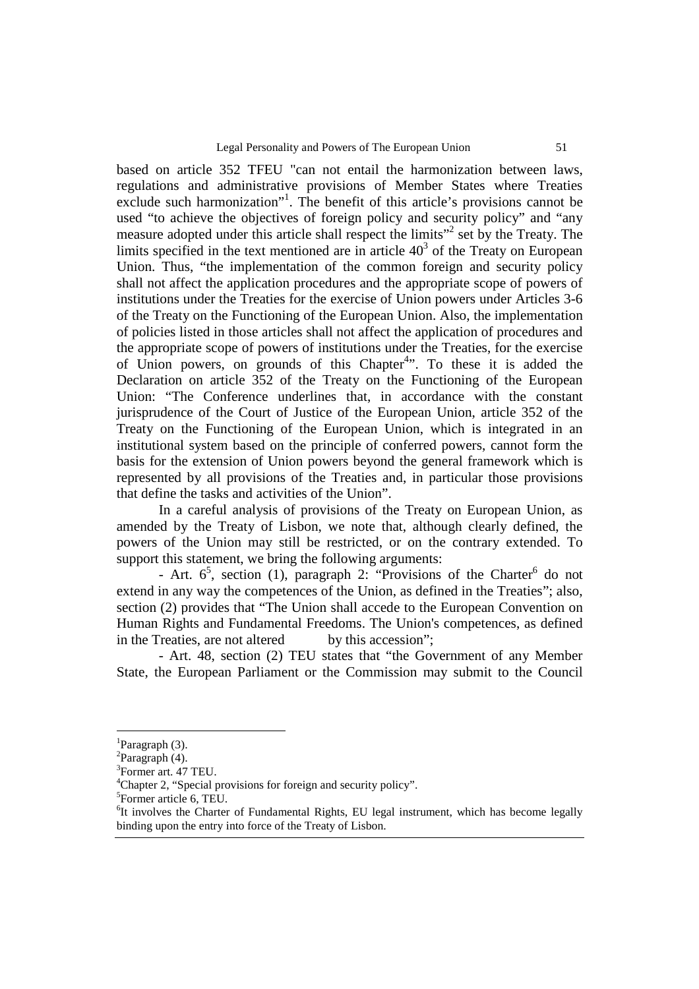based on article 352 TFEU "can not entail the harmonization between laws, regulations and administrative provisions of Member States where Treaties exclude such harmonization"<sup>1</sup>. The benefit of this article's provisions cannot be used "to achieve the objectives of foreign policy and security policy" and "any measure adopted under this article shall respect the limits"<sup>2</sup> set by the Treaty. The limits specified in the text mentioned are in article  $40<sup>3</sup>$  of the Treaty on European Union. Thus, "the implementation of the common foreign and security policy shall not affect the application procedures and the appropriate scope of powers of institutions under the Treaties for the exercise of Union powers under Articles 3-6 of the Treaty on the Functioning of the European Union. Also, the implementation of policies listed in those articles shall not affect the application of procedures and the appropriate scope of powers of institutions under the Treaties, for the exercise of Union powers, on grounds of this Chapter<sup>4</sup>". To these it is added the Declaration on article 352 of the Treaty on the Functioning of the European Union: "The Conference underlines that, in accordance with the constant jurisprudence of the Court of Justice of the European Union, article 352 of the Treaty on the Functioning of the European Union, which is integrated in an institutional system based on the principle of conferred powers, cannot form the basis for the extension of Union powers beyond the general framework which is represented by all provisions of the Treaties and, in particular those provisions that define the tasks and activities of the Union".

 In a careful analysis of provisions of the Treaty on European Union, as amended by the Treaty of Lisbon, we note that, although clearly defined, the powers of the Union may still be restricted, or on the contrary extended. To support this statement, we bring the following arguments:

- Art.  $6^5$ , section (1), paragraph 2: "Provisions of the Charter<sup>6</sup> do not extend in any way the competences of the Union, as defined in the Treaties"; also, section (2) provides that "The Union shall accede to the European Convention on Human Rights and Fundamental Freedoms. The Union's competences, as defined in the Treaties, are not altered by this accession";

 - Art. 48, section (2) TEU states that "the Government of any Member State, the European Parliament or the Commission may submit to the Council

 ${}^{1}$ Paragraph (3).

 ${}^{2}$ Paragraph (4).

<sup>3</sup> Former art. 47 TEU.

<sup>&</sup>lt;sup>4</sup>Chapter 2, "Special provisions for foreign and security policy".

<sup>&</sup>lt;sup>5</sup>Former article 6, TEU.

<sup>&</sup>lt;sup>6</sup>It involves the Charter of Fundamental Rights, EU legal instrument, which has become legally binding upon the entry into force of the Treaty of Lisbon.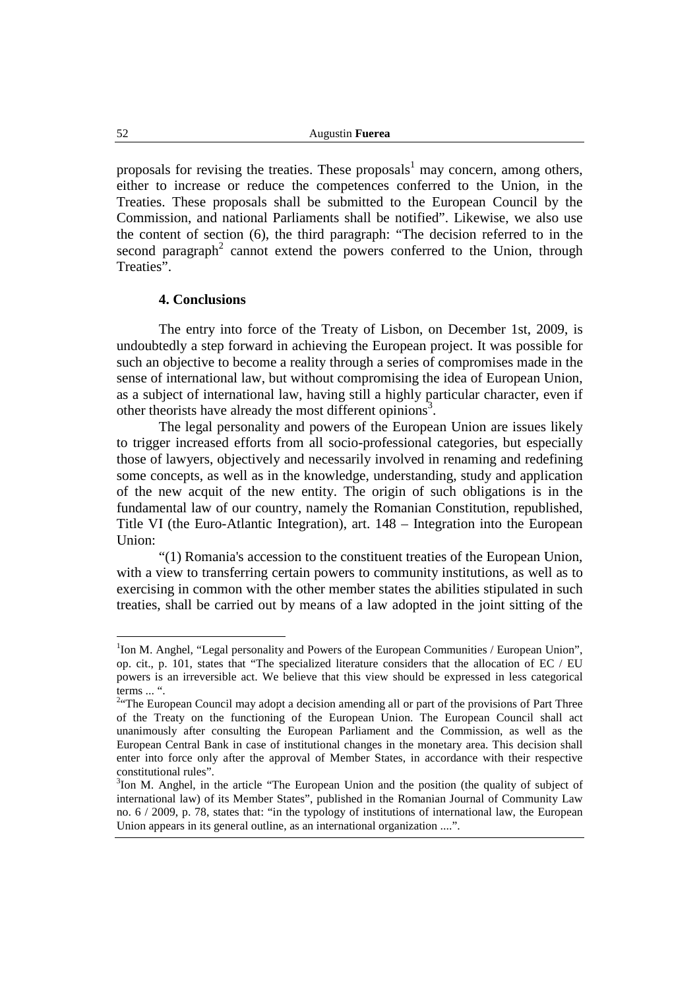52 Augustin **Fuerea**

proposals for revising the treaties. These proposals<sup>1</sup> may concern, among others, either to increase or reduce the competences conferred to the Union, in the Treaties. These proposals shall be submitted to the European Council by the Commission, and national Parliaments shall be notified". Likewise, we also use the content of section (6), the third paragraph: "The decision referred to in the second paragraph<sup>2</sup> cannot extend the powers conferred to the Union, through Treaties".

#### **4. Conclusions**

The entry into force of the Treaty of Lisbon, on December 1st, 2009, is undoubtedly a step forward in achieving the European project. It was possible for such an objective to become a reality through a series of compromises made in the sense of international law, but without compromising the idea of European Union, as a subject of international law, having still a highly particular character, even if other theorists have already the most different opinions<sup>3</sup>.

 The legal personality and powers of the European Union are issues likely to trigger increased efforts from all socio-professional categories, but especially those of lawyers, objectively and necessarily involved in renaming and redefining some concepts, as well as in the knowledge, understanding, study and application of the new acquit of the new entity. The origin of such obligations is in the fundamental law of our country, namely the Romanian Constitution, republished, Title VI (the Euro-Atlantic Integration), art. 148 – Integration into the European Union:

 "(1) Romania's accession to the constituent treaties of the European Union, with a view to transferring certain powers to community institutions, as well as to exercising in common with the other member states the abilities stipulated in such treaties, shall be carried out by means of a law adopted in the joint sitting of the

<sup>&</sup>lt;sup>1</sup>Ion M. Anghel, "Legal personality and Powers of the European Communities / European Union", op. cit., p. 101, states that "The specialized literature considers that the allocation of EC / EU powers is an irreversible act. We believe that this view should be expressed in less categorical terms ... ".

<sup>&</sup>lt;sup>2.</sup> The European Council may adopt a decision amending all or part of the provisions of Part Three of the Treaty on the functioning of the European Union. The European Council shall act unanimously after consulting the European Parliament and the Commission, as well as the European Central Bank in case of institutional changes in the monetary area. This decision shall enter into force only after the approval of Member States, in accordance with their respective constitutional rules".

<sup>&</sup>lt;sup>3</sup>Ion M. Anghel, in the article "The European Union and the position (the quality of subject of international law) of its Member States", published in the Romanian Journal of Community Law no. 6 / 2009, p. 78, states that: "in the typology of institutions of international law, the European Union appears in its general outline, as an international organization ....".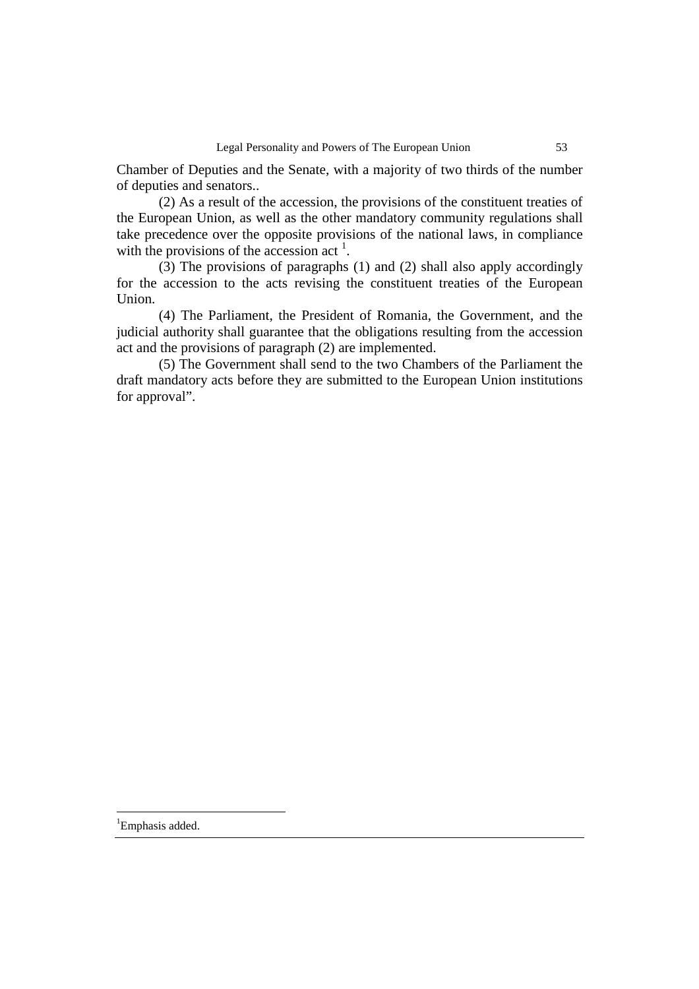Chamber of Deputies and the Senate, with a majority of two thirds of the number of deputies and senators..

 (2) As a result of the accession, the provisions of the constituent treaties of the European Union, as well as the other mandatory community regulations shall take precedence over the opposite provisions of the national laws, in compliance with the provisions of the accession act  $<sup>1</sup>$ .</sup>

(3) The provisions of paragraphs (1) and (2) shall also apply accordingly for the accession to the acts revising the constituent treaties of the European Union.

 (4) The Parliament, the President of Romania, the Government, and the judicial authority shall guarantee that the obligations resulting from the accession act and the provisions of paragraph (2) are implemented.

 (5) The Government shall send to the two Chambers of the Parliament the draft mandatory acts before they are submitted to the European Union institutions for approval".

<sup>1</sup>Emphasis added.